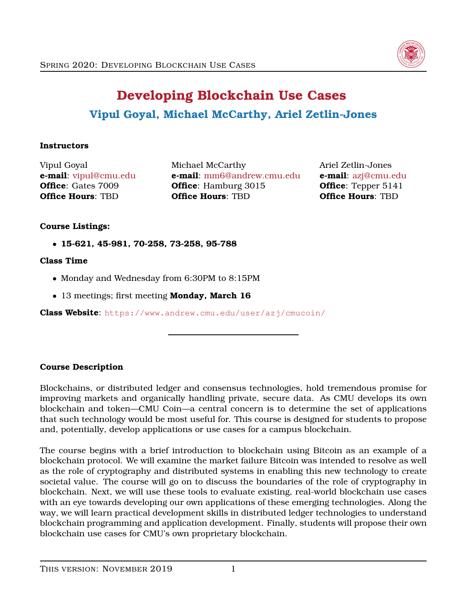

# **Developing Blockchain Use Cases Vipul Goyal, Michael McCarthy, Ariel Zetlin-Jones**

## **Instructors**

Vipul Goyal **e-mail**: [vipul@cmu.edu](mailto:vipul@cmu.edu) **Office**: Gates 7009 **Office Hours**: TBD

Michael McCarthy **e-mail**: [mm6@andrew.cmu.edu](mailto:mm6@andrew.cmu.edu) **Office**: Hamburg 3015 **Office Hours**: TBD

Ariel Zetlin-Jones **e-mail**: [azj@cmu.edu](mailto:azj@cmu.edu) **Office**: Tepper 5141 **Office Hours**: TBD

## **Course Listings:**

• **15-621, 45-981, 70-258, 73-258, 95-788**

#### **Class Time**

- Monday and Wednesday from 6:30PM to 8:15PM
- 13 meetings; first meeting **Monday, March 16**

**Class Website**: <https://www.andrew.cmu.edu/user/azj/cmucoin/>

## **Course Description**

Blockchains, or distributed ledger and consensus technologies, hold tremendous promise for improving markets and organically handling private, secure data. As CMU develops its own blockchain and token—CMU Coin—a central concern is to determine the set of applications that such technology would be most useful for. This course is designed for students to propose and, potentially, develop applications or use cases for a campus blockchain.

The course begins with a brief introduction to blockchain using Bitcoin as an example of a blockchain protocol. We will examine the market failure Bitcoin was intended to resolve as well as the role of cryptography and distributed systems in enabling this new technology to create societal value. The course will go on to discuss the boundaries of the role of cryptography in blockchain. Next, we will use these tools to evaluate existing, real-world blockchain use cases with an eye towards developing our own applications of these emerging technologies. Along the way, we will learn practical development skills in distributed ledger technologies to understand blockchain programming and application development. Finally, students will propose their own blockchain use cases for CMU's own proprietary blockchain.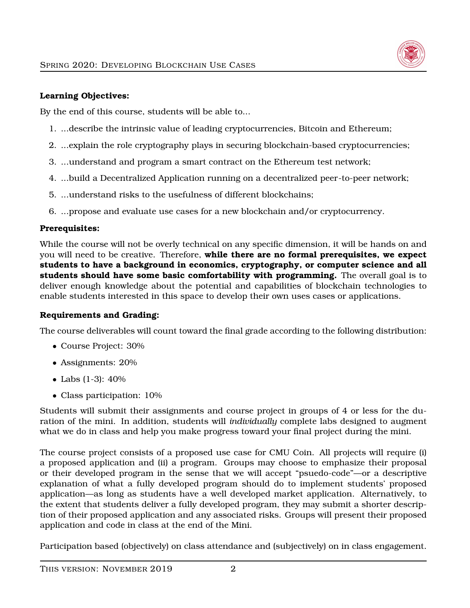

## **Learning Objectives:**

By the end of this course, students will be able to...

- 1. ...describe the intrinsic value of leading cryptocurrencies, Bitcoin and Ethereum;
- 2. ...explain the role cryptography plays in securing blockchain-based cryptocurrencies;
- 3. ...understand and program a smart contract on the Ethereum test network;
- 4. ...build a Decentralized Application running on a decentralized peer-to-peer network;
- 5. ...understand risks to the usefulness of different blockchains;
- 6. ...propose and evaluate use cases for a new blockchain and/or cryptocurrency.

## **Prerequisites:**

While the course will not be overly technical on any specific dimension, it will be hands on and you will need to be creative. Therefore, **while there are no formal prerequisites, we expect students to have a background in economics, cryptography, or computer science and all students should have some basic comfortability with programming.** The overall goal is to deliver enough knowledge about the potential and capabilities of blockchain technologies to enable students interested in this space to develop their own uses cases or applications.

## **Requirements and Grading:**

The course deliverables will count toward the final grade according to the following distribution:

- Course Project: 30%
- Assignments: 20%
- Labs (1-3): 40%
- Class participation: 10%

Students will submit their assignments and course project in groups of 4 or less for the duration of the mini. In addition, students will *individually* complete labs designed to augment what we do in class and help you make progress toward your final project during the mini.

The course project consists of a proposed use case for CMU Coin. All projects will require (i) a proposed application and (ii) a program. Groups may choose to emphasize their proposal or their developed program in the sense that we will accept "psuedo-code"—or a descriptive explanation of what a fully developed program should do to implement students' proposed application—as long as students have a well developed market application. Alternatively, to the extent that students deliver a fully developed program, they may submit a shorter description of their proposed application and any associated risks. Groups will present their proposed application and code in class at the end of the Mini.

Participation based (objectively) on class attendance and (subjectively) on in class engagement.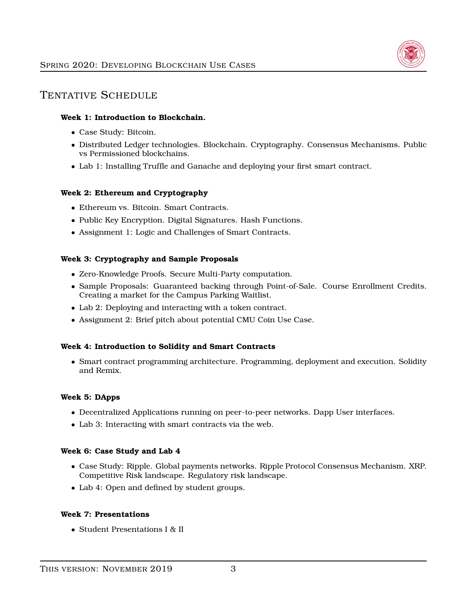

## TENTATIVE SCHEDULE

#### **Week 1: Introduction to Blockchain.**

- Case Study: Bitcoin.
- Distributed Ledger technologies. Blockchain. Cryptography. Consensus Mechanisms. Public vs Permissioned blockchains.
- Lab 1: Installing Truffle and Ganache and deploying your first smart contract.

#### **Week 2: Ethereum and Cryptography**

- Ethereum vs. Bitcoin. Smart Contracts.
- Public Key Encryption. Digital Signatures. Hash Functions.
- Assignment 1: Logic and Challenges of Smart Contracts.

#### **Week 3: Cryptography and Sample Proposals**

- Zero-Knowledge Proofs. Secure Multi-Party computation.
- Sample Proposals: Guaranteed backing through Point-of-Sale. Course Enrollment Credits. Creating a market for the Campus Parking Waitlist.
- Lab 2: Deploying and interacting with a token contract.
- Assignment 2: Brief pitch about potential CMU Coin Use Case.

#### **Week 4: Introduction to Solidity and Smart Contracts**

• Smart contract programming architecture. Programming, deployment and execution. Solidity and Remix.

#### **Week 5: DApps**

- Decentralized Applications running on peer-to-peer networks. Dapp User interfaces.
- Lab 3: Interacting with smart contracts via the web.

#### **Week 6: Case Study and Lab 4**

- Case Study: Ripple. Global payments networks. Ripple Protocol Consensus Mechanism. XRP. Competitive Risk landscape. Regulatory risk landscape.
- Lab 4: Open and defined by student groups.

#### **Week 7: Presentations**

• Student Presentations I & II